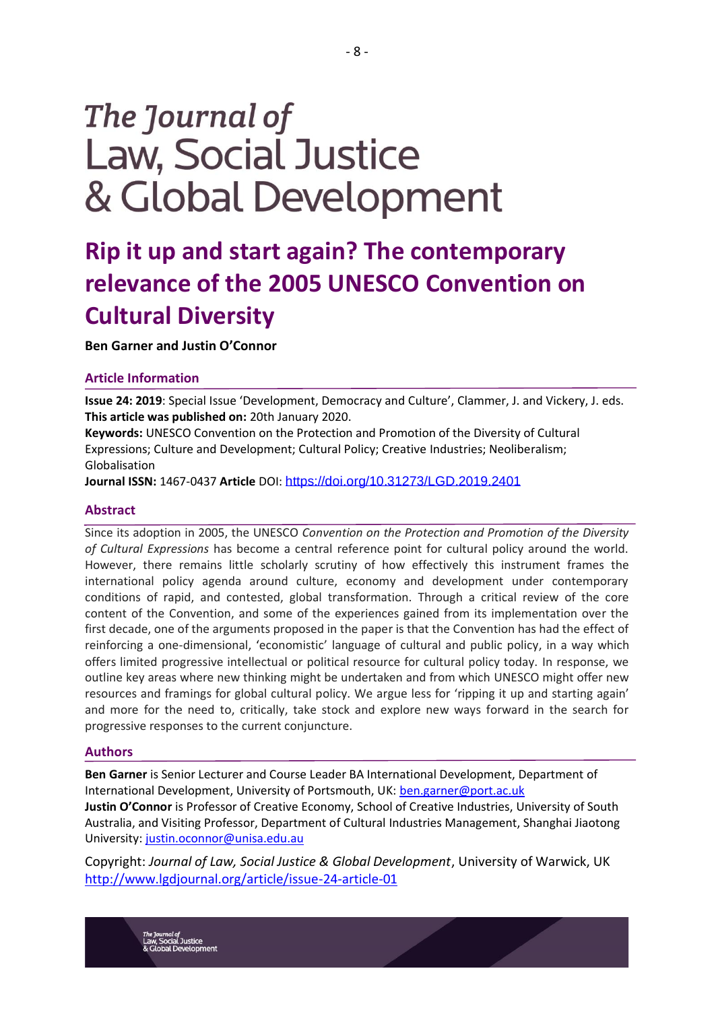# The Journal of **Law, Social Justice** & Global Development

# **Rip it up and start again? The contemporary relevance of the 2005 UNESCO Convention on Cultural Diversity**

**Ben Garner and Justin O'Connor**

#### **Article Information**

**Issue 24: 2019**: Special Issue 'Development, Democracy and Culture', Clammer, J. and Vickery, J. eds. **This article was published on:** 20th January 2020.

**Keywords:** UNESCO Convention on the Protection and Promotion of the Diversity of Cultural Expressions; Culture and Development; Cultural Policy; Creative Industries; Neoliberalism; Globalisation

**Journal ISSN:** 1467-0437 **Article** DOI: <https://doi.org/10.31273/LGD.2019.2401>

#### **Abstract**

Since its adoption in 2005, the UNESCO *Convention on the Protection and Promotion of the Diversity of Cultural Expressions* has become a central reference point for cultural policy around the world. However, there remains little scholarly scrutiny of how effectively this instrument frames the international policy agenda around culture, economy and development under contemporary conditions of rapid, and contested, global transformation. Through a critical review of the core content of the Convention, and some of the experiences gained from its implementation over the first decade, one of the arguments proposed in the paper is that the Convention has had the effect of reinforcing a one-dimensional, 'economistic' language of cultural and public policy, in a way which offers limited progressive intellectual or political resource for cultural policy today. In response, we outline key areas where new thinking might be undertaken and from which UNESCO might offer new resources and framings for global cultural policy. We argue less for 'ripping it up and starting again' and more for the need to, critically, take stock and explore new ways forward in the search for progressive responses to the current conjuncture.

#### **Authors**

**Ben Garner** is Senior Lecturer and Course Leader BA International Development, Department of International Development, University of Portsmouth, UK: [ben.garner@port.ac.uk](mailto:ben.garner@port.ac.uk) **Justin O'Connor** is Professor of Creative Economy, School of Creative Industries, University of South Australia, and Visiting Professor, Department of Cultural Industries Management, Shanghai Jiaotong University: [justin.oconnor@unisa.edu.au](mailto:justin.oconnor@unisa.edu.au)

Copyright: *Journal of Law, Social Justice & Global Development*, University of Warwick, UK <http://www.lgdjournal.org/article/issue-24-article-01>

<sub>rnal of</sub><br>¦ocial Justice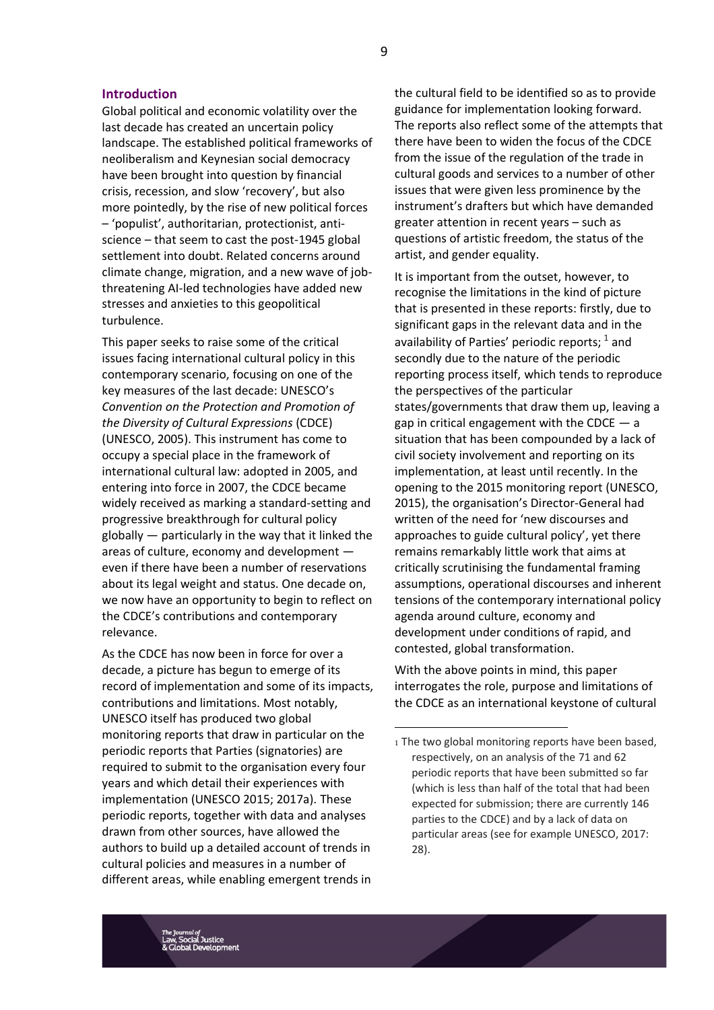#### **Introduction**

Global political and economic volatility over the last decade has created an uncertain policy landscape. The established political frameworks of neoliberalism and Keynesian social democracy have been brought into question by financial crisis, recession, and slow 'recovery', but also more pointedly, by the rise of new political forces – 'populist', authoritarian, protectionist, antiscience – that seem to cast the post-1945 global settlement into doubt. Related concerns around climate change, migration, and a new wave of jobthreatening AI-led technologies have added new stresses and anxieties to this geopolitical turbulence.

This paper seeks to raise some of the critical issues facing international cultural policy in this contemporary scenario, focusing on one of the key measures of the last decade: UNESCO's *Convention on the Protection and Promotion of the Diversity of Cultural Expressions* (CDCE) (UNESCO, 2005). This instrument has come to occupy a special place in the framework of international cultural law: adopted in 2005, and entering into force in 2007, the CDCE became widely received as marking a standard-setting and progressive breakthrough for cultural policy globally — particularly in the way that it linked the areas of culture, economy and development even if there have been a number of reservations about its legal weight and status. One decade on, we now have an opportunity to begin to reflect on the CDCE's contributions and contemporary relevance.

As the CDCE has now been in force for over a decade, a picture has begun to emerge of its record of implementation and some of its impacts, contributions and limitations. Most notably, UNESCO itself has produced two global monitoring reports that draw in particular on the periodic reports that Parties (signatories) are required to submit to the organisation every four years and which detail their experiences with implementation (UNESCO 2015; 2017a). These periodic reports, together with data and analyses drawn from other sources, have allowed the authors to build up a detailed account of trends in cultural policies and measures in a number of different areas, while enabling emergent trends in

the cultural field to be identified so as to provide guidance for implementation looking forward. The reports also reflect some of the attempts that there have been to widen the focus of the CDCE from the issue of the regulation of the trade in cultural goods and services to a number of other issues that were given less prominence by the instrument's drafters but which have demanded greater attention in recent years – such as questions of artistic freedom, the status of the artist, and gender equality.

It is important from the outset, however, to recognise the limitations in the kind of picture that is presented in these reports: firstly, due to significant gaps in the relevant data and in the availability of Parties' periodic reports;  $^1$  and secondly due to the nature of the periodic reporting process itself, which tends to reproduce the perspectives of the particular states/governments that draw them up, leaving a gap in critical engagement with the CDCE  $-$  a situation that has been compounded by a lack of civil society involvement and reporting on its implementation, at least until recently. In the opening to the 2015 monitoring report (UNESCO, 2015), the organisation's Director-General had written of the need for 'new discourses and approaches to guide cultural policy', yet there remains remarkably little work that aims at critically scrutinising the fundamental framing assumptions, operational discourses and inherent tensions of the contemporary international policy agenda around culture, economy and development under conditions of rapid, and contested, global transformation.

With the above points in mind, this paper interrogates the role, purpose and limitations of the CDCE as an international keystone of cultural

<sup>1</sup> The two global monitoring reports have been based, respectively, on an analysis of the 71 and 62 periodic reports that have been submitted so far (which is less than half of the total that had been expected for submission; there are currently 146 parties to the CDCE) and by a lack of data on particular areas (see for example UNESCO, 2017: 28).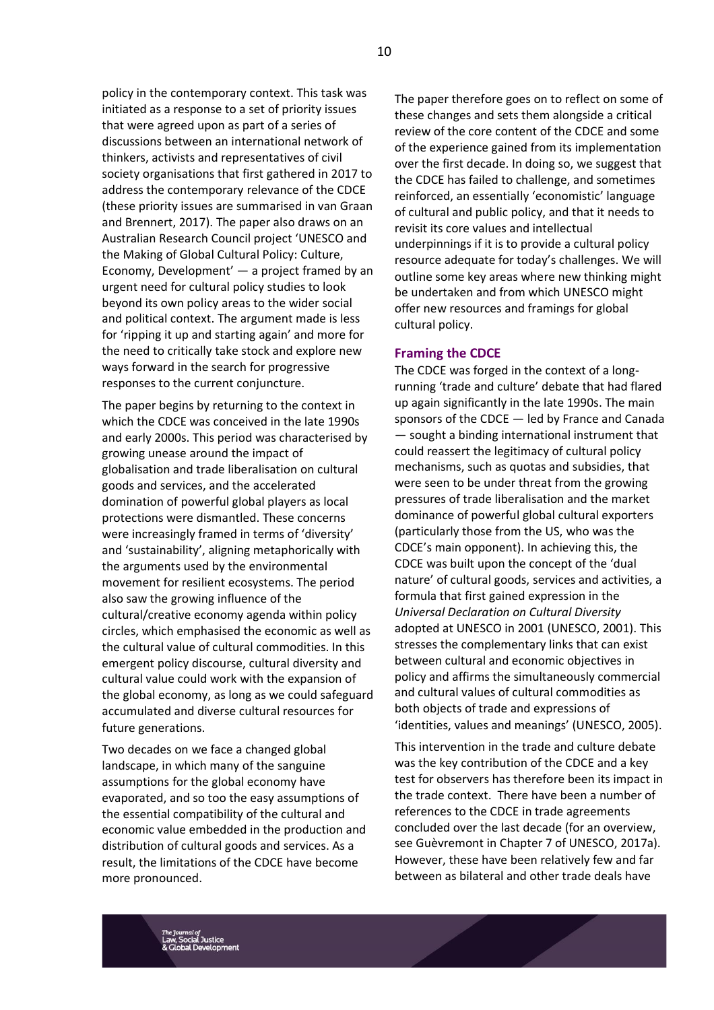policy in the contemporary context. This task was initiated as a response to a set of priority issues that were agreed upon as part of a series of discussions between an international network of thinkers, activists and representatives of civil society organisations that first gathered in 2017 to address the contemporary relevance of the CDCE (these priority issues are summarised in van Graan and Brennert, 2017). The paper also draws on an Australian Research Council project 'UNESCO and the Making of Global Cultural Policy: Culture, Economy, Development' — a project framed by an urgent need for cultural policy studies to look beyond its own policy areas to the wider social and political context. The argument made is less for 'ripping it up and starting again' and more for the need to critically take stock and explore new ways forward in the search for progressive responses to the current conjuncture.

The paper begins by returning to the context in which the CDCE was conceived in the late 1990s and early 2000s. This period was characterised by growing unease around the impact of globalisation and trade liberalisation on cultural goods and services, and the accelerated domination of powerful global players as local protections were dismantled. These concerns were increasingly framed in terms of 'diversity' and 'sustainability', aligning metaphorically with the arguments used by the environmental movement for resilient ecosystems. The period also saw the growing influence of the cultural/creative economy agenda within policy circles, which emphasised the economic as well as the cultural value of cultural commodities. In this emergent policy discourse, cultural diversity and cultural value could work with the expansion of the global economy, as long as we could safeguard accumulated and diverse cultural resources for future generations.

Two decades on we face a changed global landscape, in which many of the sanguine assumptions for the global economy have evaporated, and so too the easy assumptions of the essential compatibility of the cultural and economic value embedded in the production and distribution of cultural goods and services. As a result, the limitations of the CDCE have become more pronounced.

The paper therefore goes on to reflect on some of these changes and sets them alongside a critical review of the core content of the CDCE and some of the experience gained from its implementation over the first decade. In doing so, we suggest that the CDCE has failed to challenge, and sometimes reinforced, an essentially 'economistic' language of cultural and public policy, and that it needs to revisit its core values and intellectual underpinnings if it is to provide a cultural policy resource adequate for today's challenges. We will outline some key areas where new thinking might be undertaken and from which UNESCO might offer new resources and framings for global cultural policy.

#### **Framing the CDCE**

The CDCE was forged in the context of a longrunning 'trade and culture' debate that had flared up again significantly in the late 1990s. The main sponsors of the CDCE — led by France and Canada — sought a binding international instrument that could reassert the legitimacy of cultural policy mechanisms, such as quotas and subsidies, that were seen to be under threat from the growing pressures of trade liberalisation and the market dominance of powerful global cultural exporters (particularly those from the US, who was the CDCE's main opponent). In achieving this, the CDCE was built upon the concept of the 'dual nature' of cultural goods, services and activities, a formula that first gained expression in the *Universal Declaration on Cultural Diversity* adopted at UNESCO in 2001 (UNESCO, 2001). This stresses the complementary links that can exist between cultural and economic objectives in policy and affirms the simultaneously commercial and cultural values of cultural commodities as both objects of trade and expressions of 'identities, values and meanings' (UNESCO, 2005).

This intervention in the trade and culture debate was the key contribution of the CDCE and a key test for observers has therefore been its impact in the trade context. There have been a number of references to the CDCE in trade agreements concluded over the last decade (for an overview, see Guèvremont in Chapter 7 of UNESCO, 2017a). However, these have been relatively few and far between as bilateral and other trade deals have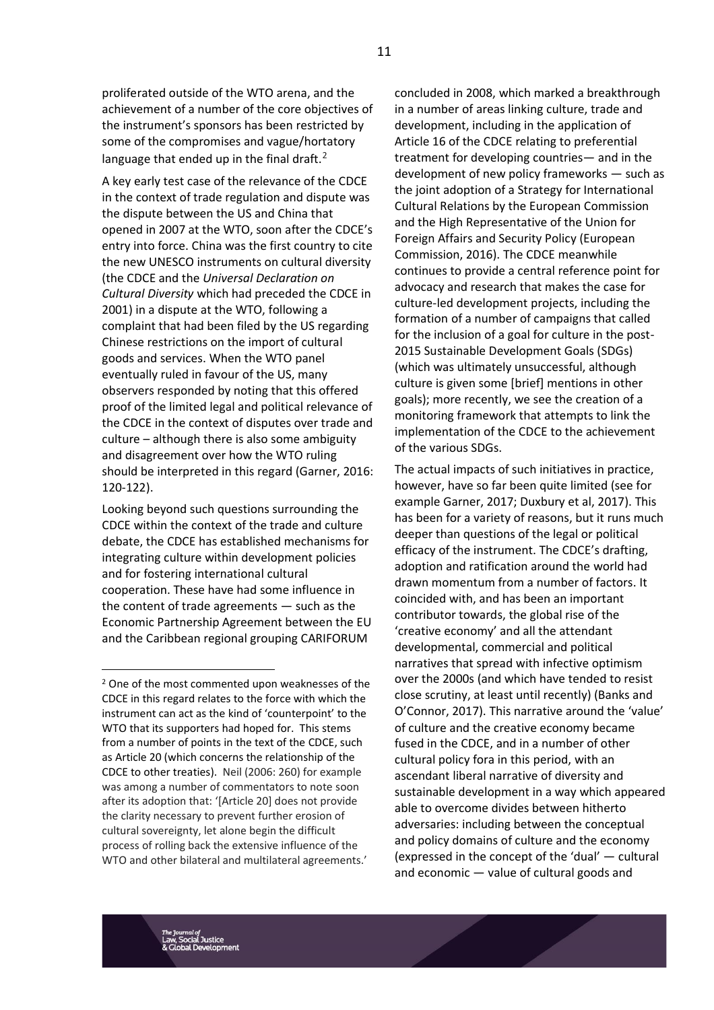proliferated outside of the WTO arena, and the achievement of a number of the core objectives of the instrument's sponsors has been restricted by some of the compromises and vague/hortatory language that ended up in the final draft. $^2$ 

A key early test case of the relevance of the CDCE in the context of trade regulation and dispute was the dispute between the US and China that opened in 2007 at the WTO, soon after the CDCE's entry into force. China was the first country to cite the new UNESCO instruments on cultural diversity (the CDCE and the *Universal Declaration on Cultural Diversity* which had preceded the CDCE in 2001) in a dispute at the WTO, following a complaint that had been filed by the US regarding Chinese restrictions on the import of cultural goods and services. When the WTO panel eventually ruled in favour of the US, many observers responded by noting that this offered proof of the limited legal and political relevance of the CDCE in the context of disputes over trade and culture – although there is also some ambiguity and disagreement over how the WTO ruling should be interpreted in this regard (Garner, 2016: 120-122).

Looking beyond such questions surrounding the CDCE within the context of the trade and culture debate, the CDCE has established mechanisms for integrating culture within development policies and for fostering international cultural cooperation. These have had some influence in the content of trade agreements — such as the Economic Partnership Agreement between the EU and the Caribbean regional grouping CARIFORUM

concluded in 2008, which marked a breakthrough in a number of areas linking culture, trade and development, including in the application of Article 16 of the CDCE relating to preferential treatment for developing countries— and in the development of new policy frameworks — such as the joint adoption of a Strategy for International Cultural Relations by the European Commission and the High Representative of the Union for Foreign Affairs and Security Policy (European Commission, 2016). The CDCE meanwhile continues to provide a central reference point for advocacy and research that makes the case for culture-led development projects, including the formation of a number of campaigns that called for the inclusion of a goal for culture in the post-2015 Sustainable Development Goals (SDGs) (which was ultimately unsuccessful, although culture is given some [brief] mentions in other goals); more recently, we see the creation of a monitoring framework that attempts to link the implementation of the CDCE to the achievement of the various SDGs.

The actual impacts of such initiatives in practice, however, have so far been quite limited (see for example Garner, 2017; Duxbury et al, 2017). This has been for a variety of reasons, but it runs much deeper than questions of the legal or political efficacy of the instrument. The CDCE's drafting, adoption and ratification around the world had drawn momentum from a number of factors. It coincided with, and has been an important contributor towards, the global rise of the 'creative economy' and all the attendant developmental, commercial and political narratives that spread with infective optimism over the 2000s (and which have tended to resist close scrutiny, at least until recently) (Banks and O'Connor, 2017). This narrative around the 'value' of culture and the creative economy became fused in the CDCE, and in a number of other cultural policy fora in this period, with an ascendant liberal narrative of diversity and sustainable development in a way which appeared able to overcome divides between hitherto adversaries: including between the conceptual and policy domains of culture and the economy (expressed in the concept of the 'dual' — cultural and economic — value of cultural goods and

<sup>2</sup> One of the most commented upon weaknesses of the CDCE in this regard relates to the force with which the instrument can act as the kind of 'counterpoint' to the WTO that its supporters had hoped for. This stems from a number of points in the text of the CDCE, such as Article 20 (which concerns the relationship of the CDCE to other treaties). Neil (2006: 260) for example was among a number of commentators to note soon after its adoption that: '[Article 20] does not provide the clarity necessary to prevent further erosion of cultural sovereignty, let alone begin the difficult process of rolling back the extensive influence of the WTO and other bilateral and multilateral agreements.'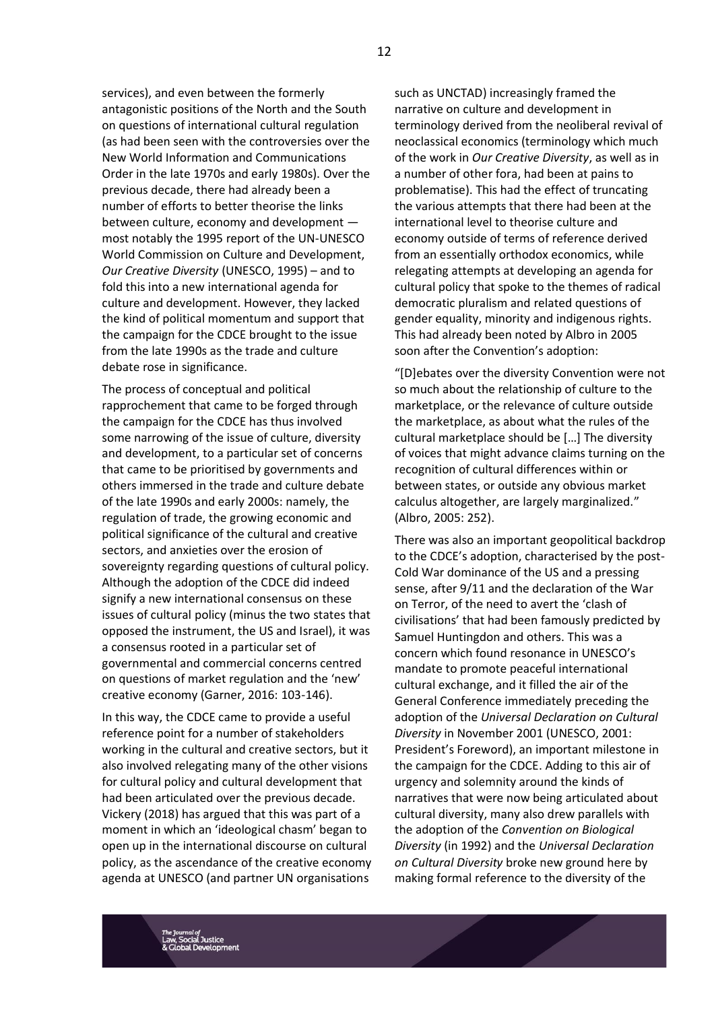services), and even between the formerly antagonistic positions of the North and the South on questions of international cultural regulation (as had been seen with the controversies over the New World Information and Communications Order in the late 1970s and early 1980s). Over the previous decade, there had already been a number of efforts to better theorise the links between culture, economy and development most notably the 1995 report of the UN-UNESCO World Commission on Culture and Development, *Our Creative Diversity* (UNESCO, 1995) – and to fold this into a new international agenda for culture and development. However, they lacked the kind of political momentum and support that the campaign for the CDCE brought to the issue from the late 1990s as the trade and culture debate rose in significance.

The process of conceptual and political rapprochement that came to be forged through the campaign for the CDCE has thus involved some narrowing of the issue of culture, diversity and development, to a particular set of concerns that came to be prioritised by governments and others immersed in the trade and culture debate of the late 1990s and early 2000s: namely, the regulation of trade, the growing economic and political significance of the cultural and creative sectors, and anxieties over the erosion of sovereignty regarding questions of cultural policy. Although the adoption of the CDCE did indeed signify a new international consensus on these issues of cultural policy (minus the two states that opposed the instrument, the US and Israel), it was a consensus rooted in a particular set of governmental and commercial concerns centred on questions of market regulation and the 'new' creative economy (Garner, 2016: 103-146).

In this way, the CDCE came to provide a useful reference point for a number of stakeholders working in the cultural and creative sectors, but it also involved relegating many of the other visions for cultural policy and cultural development that had been articulated over the previous decade. Vickery (2018) has argued that this was part of a moment in which an 'ideological chasm' began to open up in the international discourse on cultural policy, as the ascendance of the creative economy agenda at UNESCO (and partner UN organisations

such as UNCTAD) increasingly framed the narrative on culture and development in terminology derived from the neoliberal revival of neoclassical economics (terminology which much of the work in *Our Creative Diversity*, as well as in a number of other fora, had been at pains to problematise). This had the effect of truncating the various attempts that there had been at the international level to theorise culture and economy outside of terms of reference derived from an essentially orthodox economics, while relegating attempts at developing an agenda for cultural policy that spoke to the themes of radical democratic pluralism and related questions of gender equality, minority and indigenous rights. This had already been noted by Albro in 2005 soon after the Convention's adoption:

"[D]ebates over the diversity Convention were not so much about the relationship of culture to the marketplace, or the relevance of culture outside the marketplace, as about what the rules of the cultural marketplace should be […] The diversity of voices that might advance claims turning on the recognition of cultural differences within or between states, or outside any obvious market calculus altogether, are largely marginalized." (Albro, 2005: 252).

There was also an important geopolitical backdrop to the CDCE's adoption, characterised by the post-Cold War dominance of the US and a pressing sense, after 9/11 and the declaration of the War on Terror, of the need to avert the 'clash of civilisations' that had been famously predicted by Samuel Huntingdon and others. This was a concern which found resonance in UNESCO's mandate to promote peaceful international cultural exchange, and it filled the air of the General Conference immediately preceding the adoption of the *Universal Declaration on Cultural Diversity* in November 2001 (UNESCO, 2001: President's Foreword), an important milestone in the campaign for the CDCE. Adding to this air of urgency and solemnity around the kinds of narratives that were now being articulated about cultural diversity, many also drew parallels with the adoption of the *Convention on Biological Diversity* (in 1992) and the *Universal Declaration on Cultural Diversity* broke new ground here by making formal reference to the diversity of the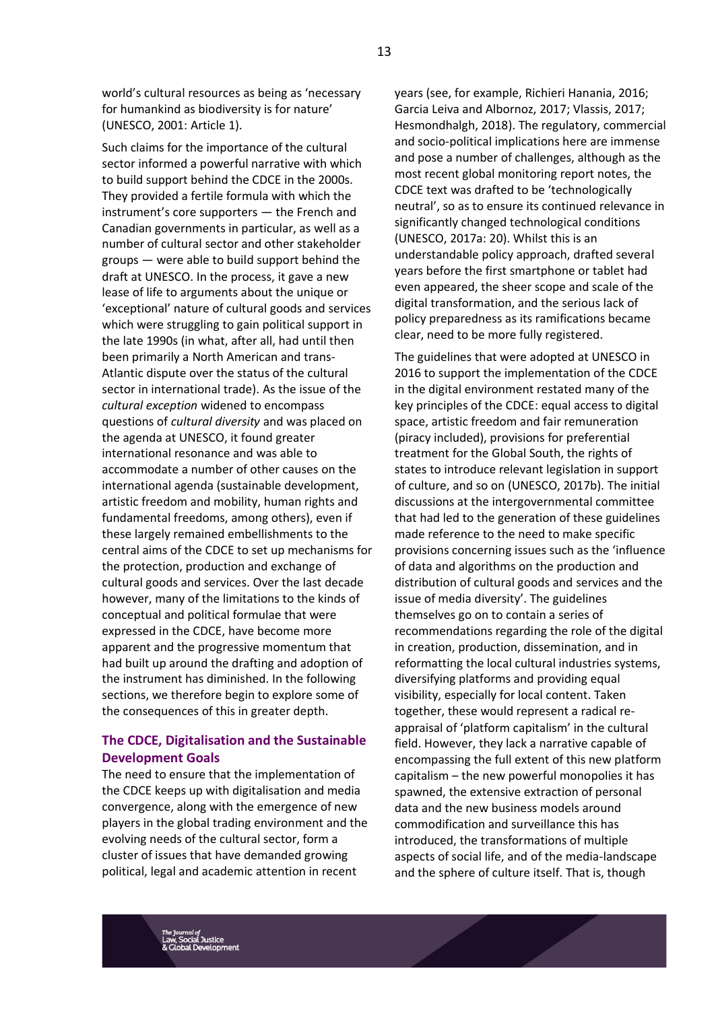world's cultural resources as being as 'necessary for humankind as biodiversity is for nature' (UNESCO, 2001: Article 1).

Such claims for the importance of the cultural sector informed a powerful narrative with which to build support behind the CDCE in the 2000s. They provided a fertile formula with which the instrument's core supporters — the French and Canadian governments in particular, as well as a number of cultural sector and other stakeholder groups — were able to build support behind the draft at UNESCO. In the process, it gave a new lease of life to arguments about the unique or 'exceptional' nature of cultural goods and services which were struggling to gain political support in the late 1990s (in what, after all, had until then been primarily a North American and trans-Atlantic dispute over the status of the cultural sector in international trade). As the issue of the *cultural exception* widened to encompass questions of *cultural diversity* and was placed on the agenda at UNESCO, it found greater international resonance and was able to accommodate a number of other causes on the international agenda (sustainable development, artistic freedom and mobility, human rights and fundamental freedoms, among others), even if these largely remained embellishments to the central aims of the CDCE to set up mechanisms for the protection, production and exchange of cultural goods and services. Over the last decade however, many of the limitations to the kinds of conceptual and political formulae that were expressed in the CDCE, have become more apparent and the progressive momentum that had built up around the drafting and adoption of the instrument has diminished. In the following sections, we therefore begin to explore some of the consequences of this in greater depth.

### **The CDCE, Digitalisation and the Sustainable Development Goals**

The need to ensure that the implementation of the CDCE keeps up with digitalisation and media convergence, along with the emergence of new players in the global trading environment and the evolving needs of the cultural sector, form a cluster of issues that have demanded growing political, legal and academic attention in recent

years (see, for example, Richieri Hanania, 2016; Garcia Leiva and Albornoz, 2017; Vlassis, 2017; Hesmondhalgh, 2018). The regulatory, commercial and socio-political implications here are immense and pose a number of challenges, although as the most recent global monitoring report notes, the CDCE text was drafted to be 'technologically neutral', so as to ensure its continued relevance in significantly changed technological conditions (UNESCO, 2017a: 20). Whilst this is an understandable policy approach, drafted several years before the first smartphone or tablet had even appeared, the sheer scope and scale of the digital transformation, and the serious lack of policy preparedness as its ramifications became clear, need to be more fully registered.

The guidelines that were adopted at UNESCO in 2016 to support the implementation of the CDCE in the digital environment restated many of the key principles of the CDCE: equal access to digital space, artistic freedom and fair remuneration (piracy included), provisions for preferential treatment for the Global South, the rights of states to introduce relevant legislation in support of culture, and so on (UNESCO, 2017b). The initial discussions at the intergovernmental committee that had led to the generation of these guidelines made reference to the need to make specific provisions concerning issues such as the 'influence of data and algorithms on the production and distribution of cultural goods and services and the issue of media diversity'. The guidelines themselves go on to contain a series of recommendations regarding the role of the digital in creation, production, dissemination, and in reformatting the local cultural industries systems, diversifying platforms and providing equal visibility, especially for local content. Taken together, these would represent a radical reappraisal of 'platform capitalism' in the cultural field. However, they lack a narrative capable of encompassing the full extent of this new platform capitalism – the new powerful monopolies it has spawned, the extensive extraction of personal data and the new business models around commodification and surveillance this has introduced, the transformations of multiple aspects of social life, and of the media-landscape and the sphere of culture itself. That is, though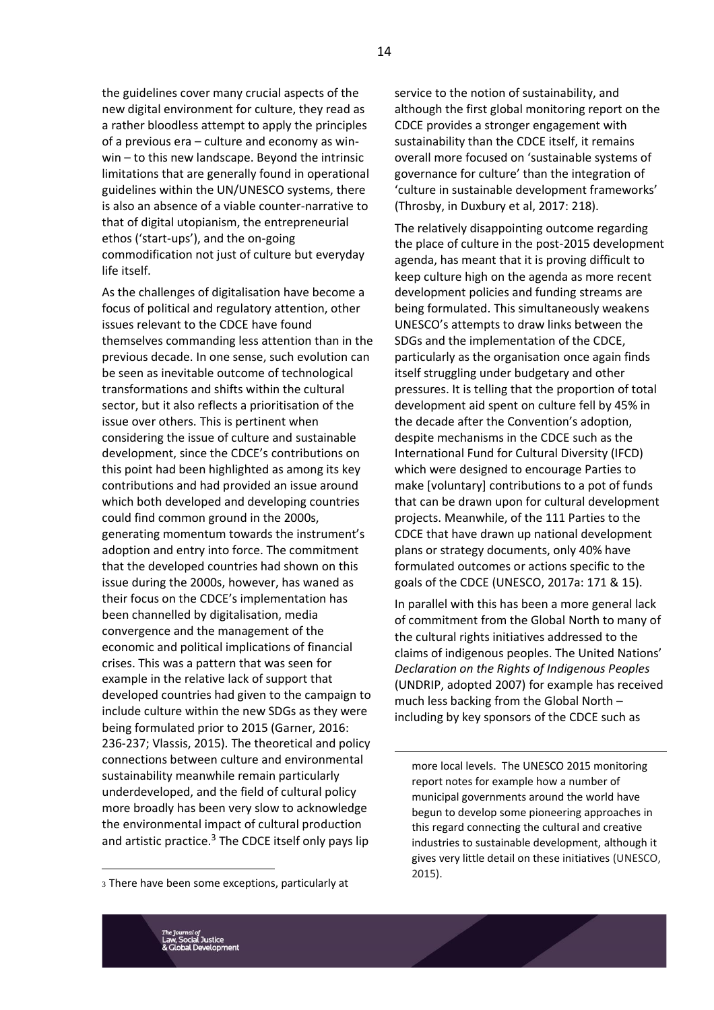the guidelines cover many crucial aspects of the new digital environment for culture, they read as a rather bloodless attempt to apply the principles of a previous era – culture and economy as winwin – to this new landscape. Beyond the intrinsic limitations that are generally found in operational guidelines within the UN/UNESCO systems, there is also an absence of a viable counter-narrative to that of digital utopianism, the entrepreneurial ethos ('start-ups'), and the on-going commodification not just of culture but everyday life itself.

As the challenges of digitalisation have become a focus of political and regulatory attention, other issues relevant to the CDCE have found themselves commanding less attention than in the previous decade. In one sense, such evolution can be seen as inevitable outcome of technological transformations and shifts within the cultural sector, but it also reflects a prioritisation of the issue over others. This is pertinent when considering the issue of culture and sustainable development, since the CDCE's contributions on this point had been highlighted as among its key contributions and had provided an issue around which both developed and developing countries could find common ground in the 2000s, generating momentum towards the instrument's adoption and entry into force. The commitment that the developed countries had shown on this issue during the 2000s, however, has waned as their focus on the CDCE's implementation has been channelled by digitalisation, media convergence and the management of the economic and political implications of financial crises. This was a pattern that was seen for example in the relative lack of support that developed countries had given to the campaign to include culture within the new SDGs as they were being formulated prior to 2015 (Garner, 2016: 236-237; Vlassis, 2015). The theoretical and policy connections between culture and environmental sustainability meanwhile remain particularly underdeveloped, and the field of cultural policy more broadly has been very slow to acknowledge the environmental impact of cultural production and artistic practice. $3$  The CDCE itself only pays lip

<sup>3</sup> There have been some exceptions, particularly at

service to the notion of sustainability, and although the first global monitoring report on the CDCE provides a stronger engagement with sustainability than the CDCE itself, it remains overall more focused on 'sustainable systems of governance for culture' than the integration of 'culture in sustainable development frameworks' (Throsby, in Duxbury et al, 2017: 218).

The relatively disappointing outcome regarding the place of culture in the post-2015 development agenda, has meant that it is proving difficult to keep culture high on the agenda as more recent development policies and funding streams are being formulated. This simultaneously weakens UNESCO's attempts to draw links between the SDGs and the implementation of the CDCE, particularly as the organisation once again finds itself struggling under budgetary and other pressures. It is telling that the proportion of total development aid spent on culture fell by 45% in the decade after the Convention's adoption, despite mechanisms in the CDCE such as the International Fund for Cultural Diversity (IFCD) which were designed to encourage Parties to make [voluntary] contributions to a pot of funds that can be drawn upon for cultural development projects. Meanwhile, of the 111 Parties to the CDCE that have drawn up national development plans or strategy documents, only 40% have formulated outcomes or actions specific to the goals of the CDCE (UNESCO, 2017a: 171 & 15).

In parallel with this has been a more general lack of commitment from the Global North to many of the cultural rights initiatives addressed to the claims of indigenous peoples. The United Nations' *Declaration on the Rights of Indigenous Peoples* (UNDRIP, adopted 2007) for example has received much less backing from the Global North – including by key sponsors of the CDCE such as

more local levels. The UNESCO 2015 monitoring report notes for example how a number of municipal governments around the world have begun to develop some pioneering approaches in this regard connecting the cultural and creative industries to sustainable development, although it gives very little detail on these initiatives (UNESCO, 2015).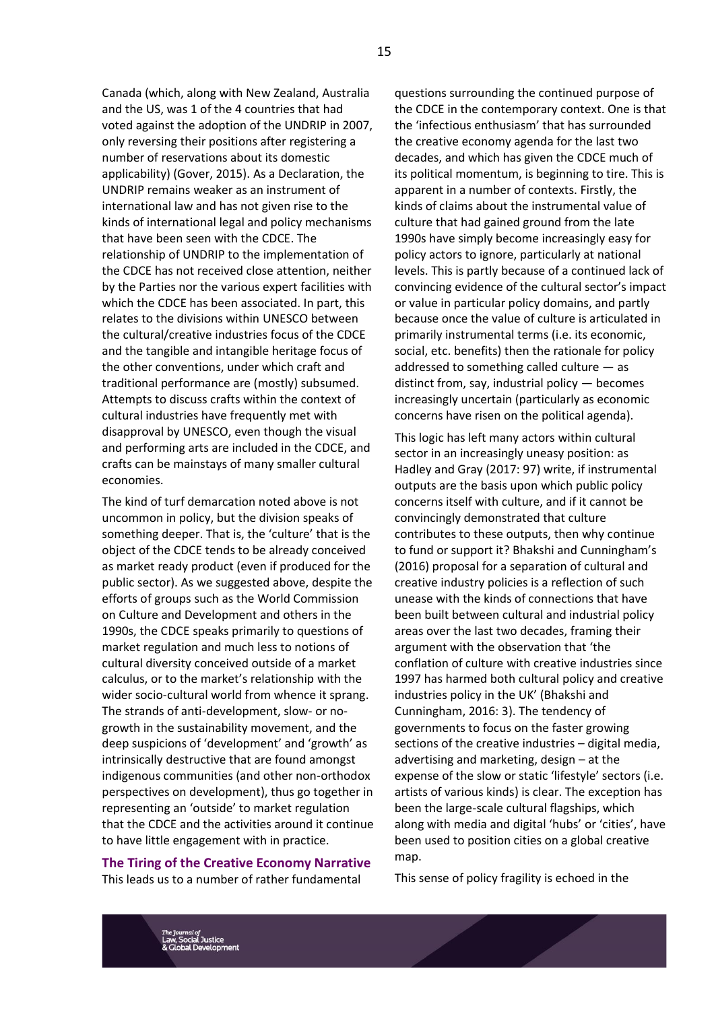Canada (which, along with New Zealand, Australia and the US, was 1 of the 4 countries that had voted against the adoption of the UNDRIP in 2007, only reversing their positions after registering a number of reservations about its domestic applicability) (Gover, 2015). As a Declaration, the UNDRIP remains weaker as an instrument of international law and has not given rise to the kinds of international legal and policy mechanisms that have been seen with the CDCE. The relationship of UNDRIP to the implementation of the CDCE has not received close attention, neither by the Parties nor the various expert facilities with which the CDCE has been associated. In part, this relates to the divisions within UNESCO between the cultural/creative industries focus of the CDCE and the tangible and intangible heritage focus of the other conventions, under which craft and traditional performance are (mostly) subsumed. Attempts to discuss crafts within the context of cultural industries have frequently met with disapproval by UNESCO, even though the visual and performing arts are included in the CDCE, and crafts can be mainstays of many smaller cultural economies.

The kind of turf demarcation noted above is not uncommon in policy, but the division speaks of something deeper. That is, the 'culture' that is the object of the CDCE tends to be already conceived as market ready product (even if produced for the public sector). As we suggested above, despite the efforts of groups such as the World Commission on Culture and Development and others in the 1990s, the CDCE speaks primarily to questions of market regulation and much less to notions of cultural diversity conceived outside of a market calculus, or to the market's relationship with the wider socio-cultural world from whence it sprang. The strands of anti-development, slow- or nogrowth in the sustainability movement, and the deep suspicions of 'development' and 'growth' as intrinsically destructive that are found amongst indigenous communities (and other non-orthodox perspectives on development), thus go together in representing an 'outside' to market regulation that the CDCE and the activities around it continue to have little engagement with in practice.

#### **The Tiring of the Creative Economy Narrative**

This leads us to a number of rather fundamental

questions surrounding the continued purpose of the CDCE in the contemporary context. One is that the 'infectious enthusiasm' that has surrounded the creative economy agenda for the last two decades, and which has given the CDCE much of its political momentum, is beginning to tire. This is apparent in a number of contexts. Firstly, the kinds of claims about the instrumental value of culture that had gained ground from the late 1990s have simply become increasingly easy for policy actors to ignore, particularly at national levels. This is partly because of a continued lack of convincing evidence of the cultural sector's impact or value in particular policy domains, and partly because once the value of culture is articulated in primarily instrumental terms (i.e. its economic, social, etc. benefits) then the rationale for policy addressed to something called culture — as distinct from, say, industrial policy — becomes increasingly uncertain (particularly as economic concerns have risen on the political agenda).

This logic has left many actors within cultural sector in an increasingly uneasy position: as Hadley and Gray (2017: 97) write, if instrumental outputs are the basis upon which public policy concerns itself with culture, and if it cannot be convincingly demonstrated that culture contributes to these outputs, then why continue to fund or support it? Bhakshi and Cunningham's (2016) proposal for a separation of cultural and creative industry policies is a reflection of such unease with the kinds of connections that have been built between cultural and industrial policy areas over the last two decades, framing their argument with the observation that 'the conflation of culture with creative industries since 1997 has harmed both cultural policy and creative industries policy in the UK' (Bhakshi and Cunningham, 2016: 3). The tendency of governments to focus on the faster growing sections of the creative industries – digital media, advertising and marketing, design – at the expense of the slow or static 'lifestyle' sectors (i.e. artists of various kinds) is clear. The exception has been the large-scale cultural flagships, which along with media and digital 'hubs' or 'cities', have been used to position cities on a global creative map.

This sense of policy fragility is echoed in the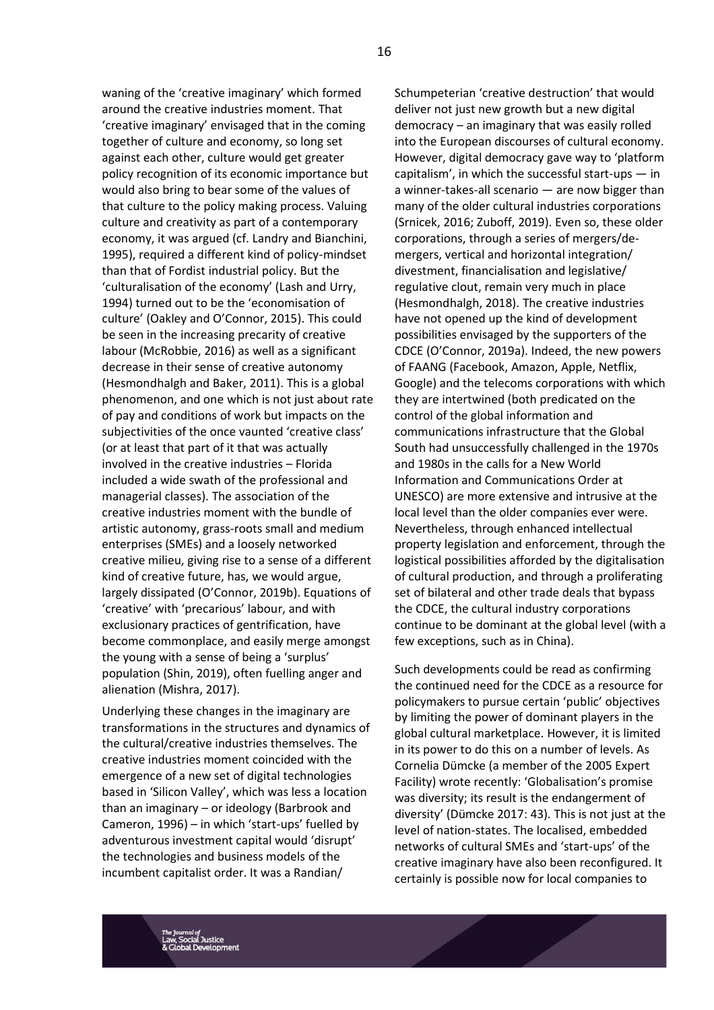waning of the 'creative imaginary' which formed around the creative industries moment. That 'creative imaginary' envisaged that in the coming together of culture and economy, so long set against each other, culture would get greater policy recognition of its economic importance but would also bring to bear some of the values of that culture to the policy making process. Valuing culture and creativity as part of a contemporary economy, it was argued (cf. Landry and Bianchini, 1995), required a different kind of policy-mindset than that of Fordist industrial policy. But the 'culturalisation of the economy' (Lash and Urry, 1994) turned out to be the 'economisation of culture' (Oakley and O'Connor, 2015). This could be seen in the increasing precarity of creative labour (McRobbie, 2016) as well as a significant decrease in their sense of creative autonomy (Hesmondhalgh and Baker, 2011). This is a global phenomenon, and one which is not just about rate of pay and conditions of work but impacts on the subjectivities of the once vaunted 'creative class' (or at least that part of it that was actually involved in the creative industries – Florida included a wide swath of the professional and managerial classes). The association of the creative industries moment with the bundle of artistic autonomy, grass-roots small and medium enterprises (SMEs) and a loosely networked creative milieu, giving rise to a sense of a different kind of creative future, has, we would argue, largely dissipated (O'Connor, 2019b). Equations of 'creative' with 'precarious' labour, and with exclusionary practices of gentrification, have become commonplace, and easily merge amongst the young with a sense of being a 'surplus' population (Shin, 2019), often fuelling anger and alienation (Mishra, 2017).

Underlying these changes in the imaginary are transformations in the structures and dynamics of the cultural/creative industries themselves. The creative industries moment coincided with the emergence of a new set of digital technologies based in 'Silicon Valley', which was less a location than an imaginary – or ideology (Barbrook and Cameron, 1996) – in which 'start-ups' fuelled by adventurous investment capital would 'disrupt' the technologies and business models of the incumbent capitalist order. It was a Randian/

Schumpeterian 'creative destruction' that would deliver not just new growth but a new digital democracy – an imaginary that was easily rolled into the European discourses of cultural economy. However, digital democracy gave way to 'platform capitalism', in which the successful start-ups — in a winner-takes-all scenario — are now bigger than many of the older cultural industries corporations (Srnicek, 2016; Zuboff, 2019). Even so, these older corporations, through a series of mergers/demergers, vertical and horizontal integration/ divestment, financialisation and legislative/ regulative clout, remain very much in place (Hesmondhalgh, 2018). The creative industries have not opened up the kind of development possibilities envisaged by the supporters of the CDCE (O'Connor, 2019a). Indeed, the new powers of FAANG (Facebook, Amazon, Apple, Netflix, Google) and the telecoms corporations with which they are intertwined (both predicated on the control of the global information and communications infrastructure that the Global South had unsuccessfully challenged in the 1970s and 1980s in the calls for a New World Information and Communications Order at UNESCO) are more extensive and intrusive at the local level than the older companies ever were. Nevertheless, through enhanced intellectual property legislation and enforcement, through the logistical possibilities afforded by the digitalisation of cultural production, and through a proliferating set of bilateral and other trade deals that bypass the CDCE, the cultural industry corporations continue to be dominant at the global level (with a few exceptions, such as in China).

Such developments could be read as confirming the continued need for the CDCE as a resource for policymakers to pursue certain 'public' objectives by limiting the power of dominant players in the global cultural marketplace. However, it is limited in its power to do this on a number of levels. As Cornelia Dümcke (a member of the 2005 Expert Facility) wrote recently: 'Globalisation's promise was diversity; its result is the endangerment of diversity' (Dümcke 2017: 43). This is not just at the level of nation-states. The localised, embedded networks of cultural SMEs and 'start-ups' of the creative imaginary have also been reconfigured. It certainly is possible now for local companies to

*al of*<br>cial Justice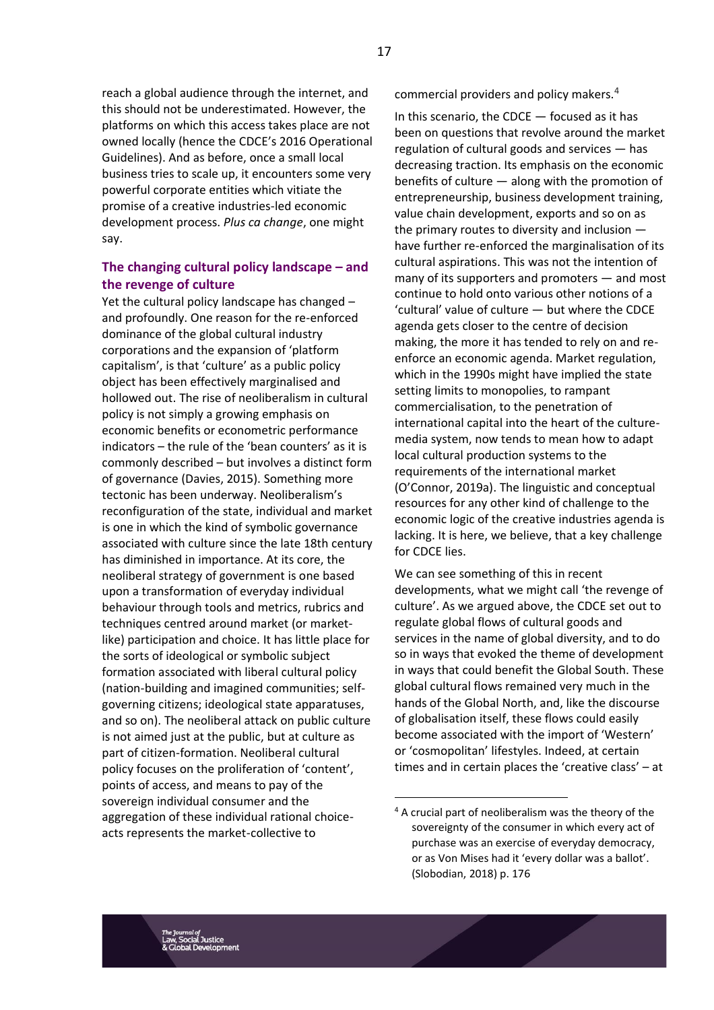reach a global audience through the internet, and this should not be underestimated. However, the platforms on which this access takes place are not owned locally (hence the CDCE's 2016 Operational Guidelines). And as before, once a small local business tries to scale up, it encounters some very powerful corporate entities which vitiate the promise of a creative industries-led economic development process. *Plus ca change*, one might say.

## **The changing cultural policy landscape – and the revenge of culture**

Yet the cultural policy landscape has changed – and profoundly. One reason for the re-enforced dominance of the global cultural industry corporations and the expansion of 'platform capitalism', is that 'culture' as a public policy object has been effectively marginalised and hollowed out. The rise of neoliberalism in cultural policy is not simply a growing emphasis on economic benefits or econometric performance indicators – the rule of the 'bean counters' as it is commonly described – but involves a distinct form of governance (Davies, 2015). Something more tectonic has been underway. Neoliberalism's reconfiguration of the state, individual and market is one in which the kind of symbolic governance associated with culture since the late 18th century has diminished in importance. At its core, the neoliberal strategy of government is one based upon a transformation of everyday individual behaviour through tools and metrics, rubrics and techniques centred around market (or marketlike) participation and choice. It has little place for the sorts of ideological or symbolic subject formation associated with liberal cultural policy (nation-building and imagined communities; selfgoverning citizens; ideological state apparatuses, and so on). The neoliberal attack on public culture is not aimed just at the public, but at culture as part of citizen-formation. Neoliberal cultural policy focuses on the proliferation of 'content', points of access, and means to pay of the sovereign individual consumer and the aggregation of these individual rational choiceacts represents the market-collective to

commercial providers and policy makers.<sup>4</sup>

In this scenario, the CDCE — focused as it has been on questions that revolve around the market regulation of cultural goods and services — has decreasing traction. Its emphasis on the economic benefits of culture — along with the promotion of entrepreneurship, business development training, value chain development, exports and so on as the primary routes to diversity and inclusion have further re-enforced the marginalisation of its cultural aspirations. This was not the intention of many of its supporters and promoters — and most continue to hold onto various other notions of a 'cultural' value of culture — but where the CDCE agenda gets closer to the centre of decision making, the more it has tended to rely on and reenforce an economic agenda. Market regulation, which in the 1990s might have implied the state setting limits to monopolies, to rampant commercialisation, to the penetration of international capital into the heart of the culturemedia system, now tends to mean how to adapt local cultural production systems to the requirements of the international market (O'Connor, 2019a). The linguistic and conceptual resources for any other kind of challenge to the economic logic of the creative industries agenda is lacking. It is here, we believe, that a key challenge for CDCE lies.

We can see something of this in recent developments, what we might call 'the revenge of culture'. As we argued above, the CDCE set out to regulate global flows of cultural goods and services in the name of global diversity, and to do so in ways that evoked the theme of development in ways that could benefit the Global South. These global cultural flows remained very much in the hands of the Global North, and, like the discourse of globalisation itself, these flows could easily become associated with the import of 'Western' or 'cosmopolitan' lifestyles. Indeed, at certain times and in certain places the 'creative class' – at

<sup>4</sup> A crucial part of neoliberalism was the theory of the sovereignty of the consumer in which every act of purchase was an exercise of everyday democracy, or as Von Mises had it 'every dollar was a ballot'. (Slobodian, 2018) p. 176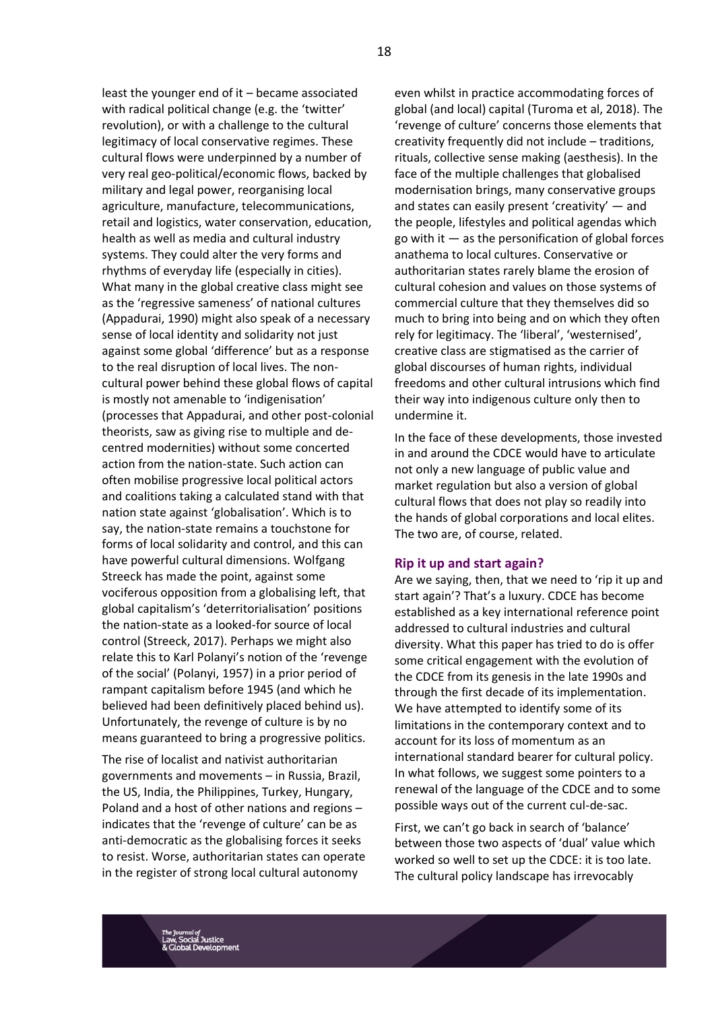least the younger end of it – became associated with radical political change (e.g. the 'twitter' revolution), or with a challenge to the cultural legitimacy of local conservative regimes. These cultural flows were underpinned by a number of very real geo-political/economic flows, backed by military and legal power, reorganising local agriculture, manufacture, telecommunications, retail and logistics, water conservation, education, health as well as media and cultural industry systems. They could alter the very forms and rhythms of everyday life (especially in cities). What many in the global creative class might see as the 'regressive sameness' of national cultures (Appadurai, 1990) might also speak of a necessary sense of local identity and solidarity not just against some global 'difference' but as a response to the real disruption of local lives. The noncultural power behind these global flows of capital is mostly not amenable to 'indigenisation' (processes that Appadurai, and other post-colonial theorists, saw as giving rise to multiple and decentred modernities) without some concerted action from the nation-state. Such action can often mobilise progressive local political actors and coalitions taking a calculated stand with that nation state against 'globalisation'. Which is to say, the nation-state remains a touchstone for forms of local solidarity and control, and this can have powerful cultural dimensions. Wolfgang Streeck has made the point, against some vociferous opposition from a globalising left, that global capitalism's 'deterritorialisation' positions the nation-state as a looked-for source of local control (Streeck, 2017). Perhaps we might also relate this to Karl Polanyi's notion of the 'revenge of the social' (Polanyi, 1957) in a prior period of rampant capitalism before 1945 (and which he believed had been definitively placed behind us). Unfortunately, the revenge of culture is by no means guaranteed to bring a progressive politics.

The rise of localist and nativist authoritarian governments and movements – in Russia, Brazil, the US, India, the Philippines, Turkey, Hungary, Poland and a host of other nations and regions – indicates that the 'revenge of culture' can be as anti-democratic as the globalising forces it seeks to resist. Worse, authoritarian states can operate in the register of strong local cultural autonomy

even whilst in practice accommodating forces of global (and local) capital (Turoma et al, 2018). The 'revenge of culture' concerns those elements that creativity frequently did not include – traditions, rituals, collective sense making (aesthesis). In the face of the multiple challenges that globalised modernisation brings, many conservative groups and states can easily present 'creativity' — and the people, lifestyles and political agendas which go with it  $-$  as the personification of global forces anathema to local cultures. Conservative or authoritarian states rarely blame the erosion of cultural cohesion and values on those systems of commercial culture that they themselves did so much to bring into being and on which they often rely for legitimacy. The 'liberal', 'westernised', creative class are stigmatised as the carrier of global discourses of human rights, individual freedoms and other cultural intrusions which find their way into indigenous culture only then to undermine it.

In the face of these developments, those invested in and around the CDCE would have to articulate not only a new language of public value and market regulation but also a version of global cultural flows that does not play so readily into the hands of global corporations and local elites. The two are, of course, related.

#### **Rip it up and start again?**

Are we saying, then, that we need to 'rip it up and start again'? That's a luxury. CDCE has become established as a key international reference point addressed to cultural industries and cultural diversity. What this paper has tried to do is offer some critical engagement with the evolution of the CDCE from its genesis in the late 1990s and through the first decade of its implementation. We have attempted to identify some of its limitations in the contemporary context and to account for its loss of momentum as an international standard bearer for cultural policy. In what follows, we suggest some pointers to a renewal of the language of the CDCE and to some possible ways out of the current cul-de-sac.

First, we can't go back in search of 'balance' between those two aspects of 'dual' value which worked so well to set up the CDCE: it is too late. The cultural policy landscape has irrevocably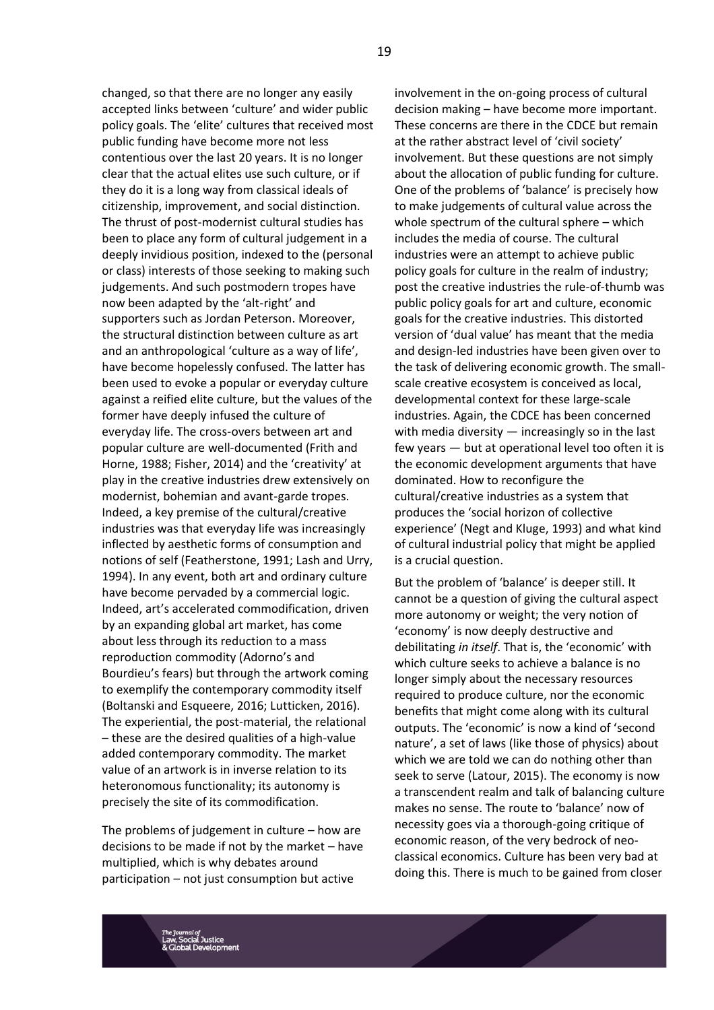changed, so that there are no longer any easily accepted links between 'culture' and wider public policy goals. The 'elite' cultures that received most public funding have become more not less contentious over the last 20 years. It is no longer clear that the actual elites use such culture, or if they do it is a long way from classical ideals of citizenship, improvement, and social distinction. The thrust of post-modernist cultural studies has been to place any form of cultural judgement in a deeply invidious position, indexed to the (personal or class) interests of those seeking to making such judgements. And such postmodern tropes have now been adapted by the 'alt-right' and supporters such as Jordan Peterson. Moreover, the structural distinction between culture as art and an anthropological 'culture as a way of life', have become hopelessly confused. The latter has been used to evoke a popular or everyday culture against a reified elite culture, but the values of the former have deeply infused the culture of everyday life. The cross-overs between art and popular culture are well-documented (Frith and Horne, 1988; Fisher, 2014) and the 'creativity' at play in the creative industries drew extensively on modernist, bohemian and avant-garde tropes. Indeed, a key premise of the cultural/creative industries was that everyday life was increasingly inflected by aesthetic forms of consumption and notions of self (Featherstone, 1991; Lash and Urry, 1994). In any event, both art and ordinary culture have become pervaded by a commercial logic. Indeed, art's accelerated commodification, driven by an expanding global art market, has come about less through its reduction to a mass reproduction commodity (Adorno's and Bourdieu's fears) but through the artwork coming to exemplify the contemporary commodity itself (Boltanski and Esqueere, 2016; Lutticken, 2016). The experiential, the post-material, the relational – these are the desired qualities of a high-value added contemporary commodity. The market value of an artwork is in inverse relation to its heteronomous functionality; its autonomy is precisely the site of its commodification.

The problems of judgement in culture – how are decisions to be made if not by the market – have multiplied, which is why debates around participation – not just consumption but active

involvement in the on-going process of cultural decision making – have become more important. These concerns are there in the CDCE but remain at the rather abstract level of 'civil society' involvement. But these questions are not simply about the allocation of public funding for culture. One of the problems of 'balance' is precisely how to make judgements of cultural value across the whole spectrum of the cultural sphere – which includes the media of course. The cultural industries were an attempt to achieve public policy goals for culture in the realm of industry; post the creative industries the rule-of-thumb was public policy goals for art and culture, economic goals for the creative industries. This distorted version of 'dual value' has meant that the media and design-led industries have been given over to the task of delivering economic growth. The smallscale creative ecosystem is conceived as local, developmental context for these large-scale industries. Again, the CDCE has been concerned with media diversity — increasingly so in the last few years — but at operational level too often it is the economic development arguments that have dominated. How to reconfigure the cultural/creative industries as a system that produces the 'social horizon of collective experience' (Negt and Kluge, 1993) and what kind of cultural industrial policy that might be applied is a crucial question.

But the problem of 'balance' is deeper still. It cannot be a question of giving the cultural aspect more autonomy or weight; the very notion of 'economy' is now deeply destructive and debilitating *in itself*. That is, the 'economic' with which culture seeks to achieve a balance is no longer simply about the necessary resources required to produce culture, nor the economic benefits that might come along with its cultural outputs. The 'economic' is now a kind of 'second nature', a set of laws (like those of physics) about which we are told we can do nothing other than seek to serve (Latour, 2015). The economy is now a transcendent realm and talk of balancing culture makes no sense. The route to 'balance' now of necessity goes via a thorough-going critique of economic reason, of the very bedrock of neoclassical economics. Culture has been very bad at doing this. There is much to be gained from closer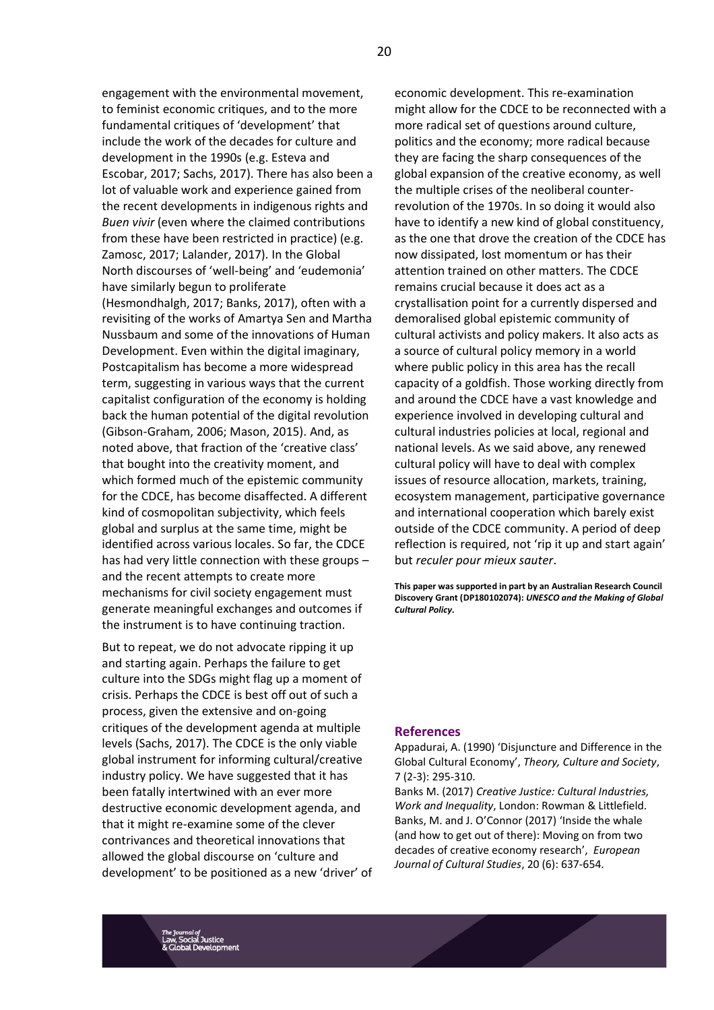engagement with the environmental movement, to feminist economic critiques, and to the more fundamental critiques of 'development' that include the work of the decades for culture and development in the 1990s (e.g. Esteva and Escobar, 2017; Sachs, 2017). There has also been a lot of valuable work and experience gained from the recent developments in indigenous rights and *Buen vivir* (even where the claimed contributions from these have been restricted in practice) (e.g. Zamosc, 2017; Lalander, 2017). In the Global North discourses of 'well-being' and 'eudemonia' have similarly begun to proliferate (Hesmondhalgh, 2017; Banks, 2017), often with a revisiting of the works of Amartya Sen and Martha Nussbaum and some of the innovations of Human Development. Even within the digital imaginary, Postcapitalism has become a more widespread term, suggesting in various ways that the current capitalist configuration of the economy is holding back the human potential of the digital revolution (Gibson-Graham, 2006; Mason, 2015). And, as noted above, that fraction of the 'creative class' that bought into the creativity moment, and which formed much of the epistemic community for the CDCE, has become disaffected. A different kind of cosmopolitan subjectivity, which feels global and surplus at the same time, might be identified across various locales. So far, the CDCE has had very little connection with these groups – and the recent attempts to create more mechanisms for civil society engagement must generate meaningful exchanges and outcomes if the instrument is to have continuing traction.

But to repeat, we do not advocate ripping it up and starting again. Perhaps the failure to get culture into the SDGs might flag up a moment of crisis. Perhaps the CDCE is best off out of such a process, given the extensive and on-going critiques of the development agenda at multiple levels (Sachs, 2017). The CDCE is the only viable global instrument for informing cultural/creative industry policy. We have suggested that it has been fatally intertwined with an ever more destructive economic development agenda, and that it might re-examine some of the clever contrivances and theoretical innovations that allowed the global discourse on 'culture and development' to be positioned as a new 'driver' of

economic development. This re-examination might allow for the CDCE to be reconnected with a more radical set of questions around culture, politics and the economy; more radical because they are facing the sharp consequences of the global expansion of the creative economy, as well the multiple crises of the neoliberal counterrevolution of the 1970s. In so doing it would also have to identify a new kind of global constituency, as the one that drove the creation of the CDCE has now dissipated, lost momentum or has their attention trained on other matters. The CDCE remains crucial because it does act as a crystallisation point for a currently dispersed and demoralised global epistemic community of cultural activists and policy makers. It also acts as a source of cultural policy memory in a world where public policy in this area has the recall capacity of a goldfish. Those working directly from and around the CDCE have a vast knowledge and experience involved in developing cultural and cultural industries policies at local, regional and national levels. As we said above, any renewed cultural policy will have to deal with complex issues of resource allocation, markets, training, ecosystem management, participative governance and international cooperation which barely exist outside of the CDCE community. A period of deep reflection is required, not 'rip it up and start again' but *reculer pour mieux sauter*.

**This paper was supported in part by an Australian Research Council Discovery Grant (DP180102074):** *UNESCO and the Making of Global Cultural Policy***.** 

#### **References**

Appadurai, A. (1990) 'Disjuncture and Difference in the Global Cultural Economy', *Theory, Culture and Society*, 7 (2-3): 295-310.

Banks M. (2017) *Creative Justice: Cultural Industries, Work and Inequality*, London: Rowman & Littlefield. Banks, M. and J. O'Connor (2017) 'Inside the whale (and how to get out of there): Moving on from two decades of creative economy research', *European Journal of Cultural Studies*, 20 (6): 637-654.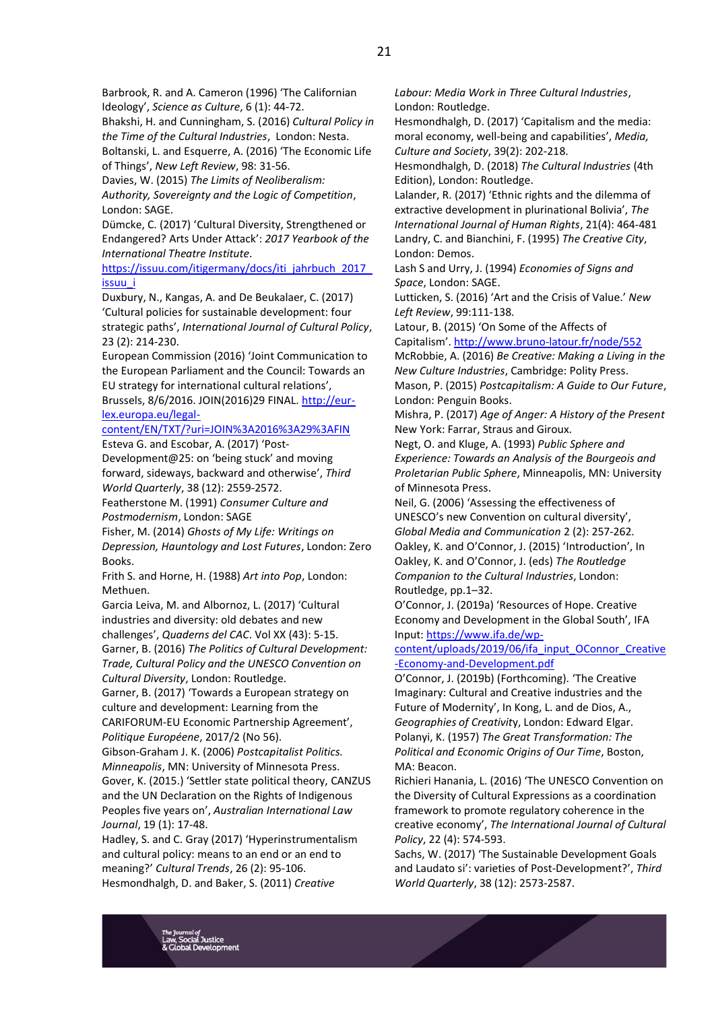Bhakshi, H. and Cunningham, S. (2016) *Cultural Policy in the Time of the Cultural Industries*, London: Nesta.

Boltanski, L. and Esquerre, A. (2016) 'The Economic Life of Things', *New Left Review*, 98: 31-56.

Davies, W. (2015) *The Limits of Neoliberalism: Authority, Sovereignty and the Logic of Competition*, London: SAGE.

Dümcke, C. (2017) 'Cultural Diversity, Strengthened or Endangered? Arts Under Attack': *2017 Yearbook of the International Theatre Institute*.

https://issuu.com/itigermany/docs/iti\_jahrbuch\_2017 [issuu\\_i](https://issuu.com/itigermany/docs/iti_jahrbuch_2017_issuu_i)

Duxbury, N., Kangas, A. and De Beukalaer, C. (2017) 'Cultural policies for sustainable development: four strategic paths', *International Journal of Cultural Policy*, 23 (2): 214-230.

European Commission (2016) 'Joint Communication to the European Parliament and the Council: Towards an EU strategy for international cultural relations',

Brussels, 8/6/2016. JOIN(2016)29 FINAL. [http://eur](http://eur-lex.europa.eu/legal-content/EN/TXT/?uri=JOIN%3A2016%3A29%3AFIN)[lex.europa.eu/legal-](http://eur-lex.europa.eu/legal-content/EN/TXT/?uri=JOIN%3A2016%3A29%3AFIN)

[content/EN/TXT/?uri=JOIN%3A2016%3A29%3AFIN](http://eur-lex.europa.eu/legal-content/EN/TXT/?uri=JOIN%3A2016%3A29%3AFIN) Esteva G. and Escobar, A. (2017) 'Post-

Development@25: on 'being stuck' and moving forward, sideways, backward and otherwise', *Third World Quarterly*, 38 (12): 2559-2572.

Featherstone M. (1991) *Consumer Culture and Postmodernism*, London: SAGE

Fisher, M. (2014) *Ghosts of My Life: Writings on Depression, Hauntology and Lost Futures*, London: Zero Books.

Frith S. and Horne, H. (1988) *Art into Pop*, London: Methuen.

Garcia Leiva, M. and Albornoz, L. (2017) 'Cultural industries and diversity: old debates and new challenges', *Quaderns del CAC*. Vol XX (43): 5-15. Garner, B. (2016) *The Politics of Cultural Development: Trade, Cultural Policy and the UNESCO Convention on Cultural Diversity*, London: Routledge.

Garner, B. (2017) 'Towards a European strategy on culture and development: Learning from the CARIFORUM-EU Economic Partnership Agreement', *Politique Européene*, 2017/2 (No 56).

Gibson-Graham J. K. (2006) *Postcapitalist Politics. Minneapolis*, MN: University of Minnesota Press. Gover, K. (2015.) 'Settler state political theory, CANZUS and the UN Declaration on the Rights of Indigenous Peoples five years on', *Australian International Law Journal*, 19 (1): 17-48.

Hadley, S. and C. Gray (2017) 'Hyperinstrumentalism and cultural policy: means to an end or an end to meaning?' *Cultural Trends*, 26 (2): 95-106. Hesmondhalgh, D. and Baker, S. (2011) *Creative* 

*Labour: Media Work in Three Cultural Industries*, London: Routledge.

Hesmondhalgh, D. (2017) 'Capitalism and the media: moral economy, well-being and capabilities', *Media, Culture and Society*, 39(2): 202-218.

Hesmondhalgh, D. (2018) *The Cultural Industries* (4th Edition), London: Routledge.

Lalander, R. (2017) 'Ethnic rights and the dilemma of extractive development in plurinational Bolivia', *The International Journal of Human Rights*, 21(4): 464-481 Landry, C. and Bianchini, F. (1995) *The Creative City*, London: Demos.

Lash S and Urry, J. (1994) *Economies of Signs and Space*, London: SAGE.

Lutticken, S. (2016) 'Art and the Crisis of Value.' *New Left Review*, 99:111-138.

Latour, B. (2015) 'On Some of the Affects of Capitalism'. <http://www.bruno-latour.fr/node/552>

McRobbie, A. (2016) *Be Creative: Making a Living in the New Culture Industries*, Cambridge: Polity Press. Mason, P. (2015) *Postcapitalism: A Guide to Our Future*, London: Penguin Books.

Mishra, P. (2017) *Age of Anger: A History of the Present* New York: Farrar, Straus and Giroux.

Negt, O. and Kluge, A. (1993) *Public Sphere and Experience: Towards an Analysis of the Bourgeois and Proletarian Public Sphere*, Minneapolis, MN: University of Minnesota Press.

Neil, G. (2006) 'Assessing the effectiveness of UNESCO's new Convention on cultural diversity', *Global Media and Communication* 2 (2): 257-262. Oakley, K. and O'Connor, J. (2015) 'Introduction', In Oakley, K. and O'Connor, J. (eds) *The Routledge Companion to the Cultural Industries*, London: Routledge, pp.1–32.

O'Connor, J. (2019a) 'Resources of Hope. Creative Economy and Development in the Global South', IFA Input: [https://www.ifa.de/wp-](https://www.ifa.de/wp-content/uploads/2019/06/ifa_input_OConnor_Creative-Economy-and-Development.pdf)

[content/uploads/2019/06/ifa\\_input\\_OConnor\\_Creative](https://www.ifa.de/wp-content/uploads/2019/06/ifa_input_OConnor_Creative-Economy-and-Development.pdf) [-Economy-and-Development.pdf](https://www.ifa.de/wp-content/uploads/2019/06/ifa_input_OConnor_Creative-Economy-and-Development.pdf)

O'Connor, J. (2019b) (Forthcoming). 'The Creative Imaginary: Cultural and Creative industries and the Future of Modernity', In Kong, L. and de Dios, A., *Geographies of Creativit*y, London: Edward Elgar. Polanyi, K. (1957) *The Great Transformation: The Political and Economic Origins of Our Time*, Boston, MA: Beacon.

Richieri Hanania, L. (2016) 'The UNESCO Convention on the Diversity of Cultural Expressions as a coordination framework to promote regulatory coherence in the creative economy', *The International Journal of Cultural Policy*, 22 (4): 574-593.

Sachs, W. (2017) 'The Sustainable Development Goals and Laudato si': varieties of Post-Development?', *Third World Quarterly*, 38 (12): 2573-2587.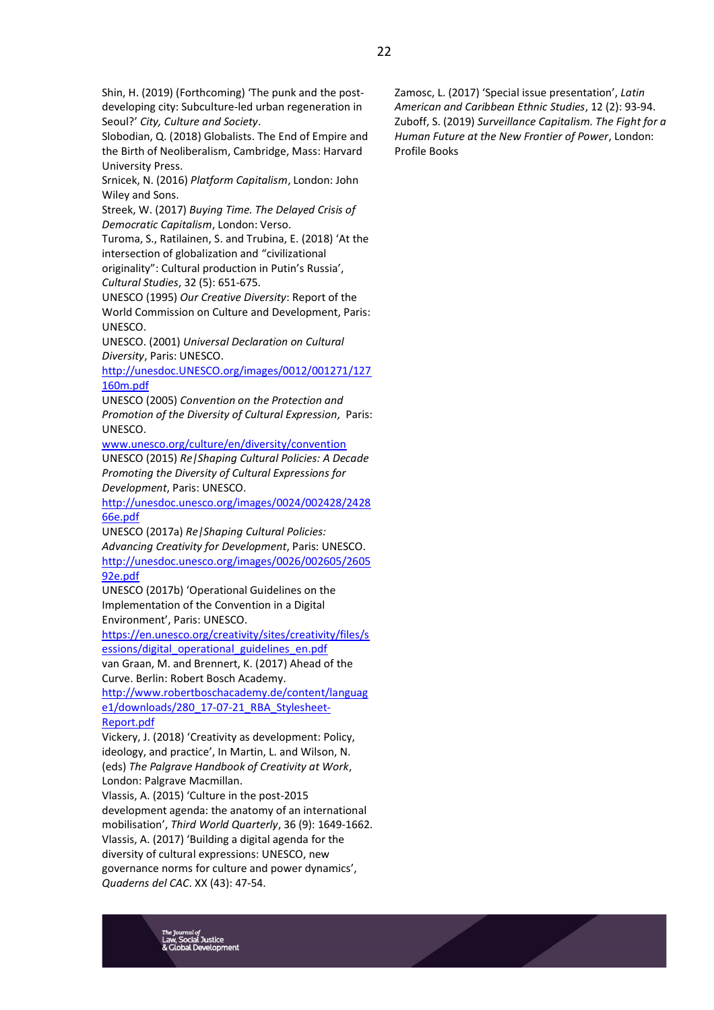Slobodian, Q. (2018) Globalists. The End of Empire and the Birth of Neoliberalism, Cambridge, Mass: Harvard University Press.

Srnicek, N. (2016) *Platform Capitalism*, London: John Wiley and Sons.

Streek, W. (2017) *Buying Time. The Delayed Crisis of Democratic Capitalism*, London: Verso.

Turoma, S., Ratilainen, S. and Trubina, E. (2018) 'At the intersection of globalization and "civilizational originality": Cultural production in Putin's Russia',

*Cultural Studies*, 32 (5): 651-675.

UNESCO (1995) *Our Creative Diversity*: Report of the World Commission on Culture and Development, Paris: UNESCO.

UNESCO. (2001) *Universal Declaration on Cultural Diversity*, Paris: UNESCO.

[http://unesdoc.UNESCO.org/images/0012/001271/127](http://unesdoc.unesco.org/images/0012/001271/127160m.pdf) [160m.pdf](http://unesdoc.unesco.org/images/0012/001271/127160m.pdf)

UNESCO (2005) *Convention on the Protection and Promotion of the Diversity of Cultural Expression,* Paris: UNESCO.

[www.unesco.org/culture/en/diversity/convention](http://www.unesco.org/culture/en/diversity/convention) UNESCO (2015) *Re|Shaping Cultural Policies: A Decade Promoting the Diversity of Cultural Expressions for Development*, Paris: UNESCO.

[http://unesdoc.unesco.org/images/0024/002428/2428](http://unesdoc.unesco.org/images/0024/002428/242866e.pdf) [66e.pdf](http://unesdoc.unesco.org/images/0024/002428/242866e.pdf)

UNESCO (2017a) *Re|Shaping Cultural Policies: Advancing Creativity for Development*, Paris: UNESCO. [http://unesdoc.unesco.org/images/0026/002605/2605](http://unesdoc.unesco.org/images/0026/002605/260592e.pdf) [92e.pdf](http://unesdoc.unesco.org/images/0026/002605/260592e.pdf)

UNESCO (2017b) 'Operational Guidelines on the Implementation of the Convention in a Digital Environment', Paris: UNESCO.

[https://en.unesco.org/creativity/sites/creativity/files/s](https://en.unesco.org/creativity/sites/creativity/files/sessions/digital_operational_guidelines_en.pdf) [essions/digital\\_operational\\_guidelines\\_en.pdf](https://en.unesco.org/creativity/sites/creativity/files/sessions/digital_operational_guidelines_en.pdf)

van Graan, M. and Brennert, K. (2017) Ahead of the Curve. Berlin: Robert Bosch Academy.

[http://www.robertboschacademy.de/content/languag](http://www.robertboschacademy.de/content/language1/downloads/280_17-07-21_RBA_Stylesheet-Report.pdf) [e1/downloads/280\\_17-07-21\\_RBA\\_Stylesheet-](http://www.robertboschacademy.de/content/language1/downloads/280_17-07-21_RBA_Stylesheet-Report.pdf)[Report.pdf](http://www.robertboschacademy.de/content/language1/downloads/280_17-07-21_RBA_Stylesheet-Report.pdf)

Vickery, J. (2018) 'Creativity as development: Policy, ideology, and practice', In Martin, L. and Wilson, N. (eds) *The Palgrave Handbook of Creativity at Work*, London: Palgrave Macmillan.

Vlassis, A. (2015) 'Culture in the post-2015 development agenda: the anatomy of an international mobilisation', *Third World Quarterly*, 36 (9): 1649-1662. Vlassis, A. (2017) 'Building a digital agenda for the diversity of cultural expressions: UNESCO, new governance norms for culture and power dynamics', *Quaderns del CAC*. XX (43): 47-54.

Zamosc, L. (2017) 'Special issue presentation', *Latin American and Caribbean Ethnic Studies*, 12 (2): 93-94. Zuboff, S. (2019) *Surveillance Capitalism. The Fight for a Human Future at the New Frontier of Power*, London: Profile Books